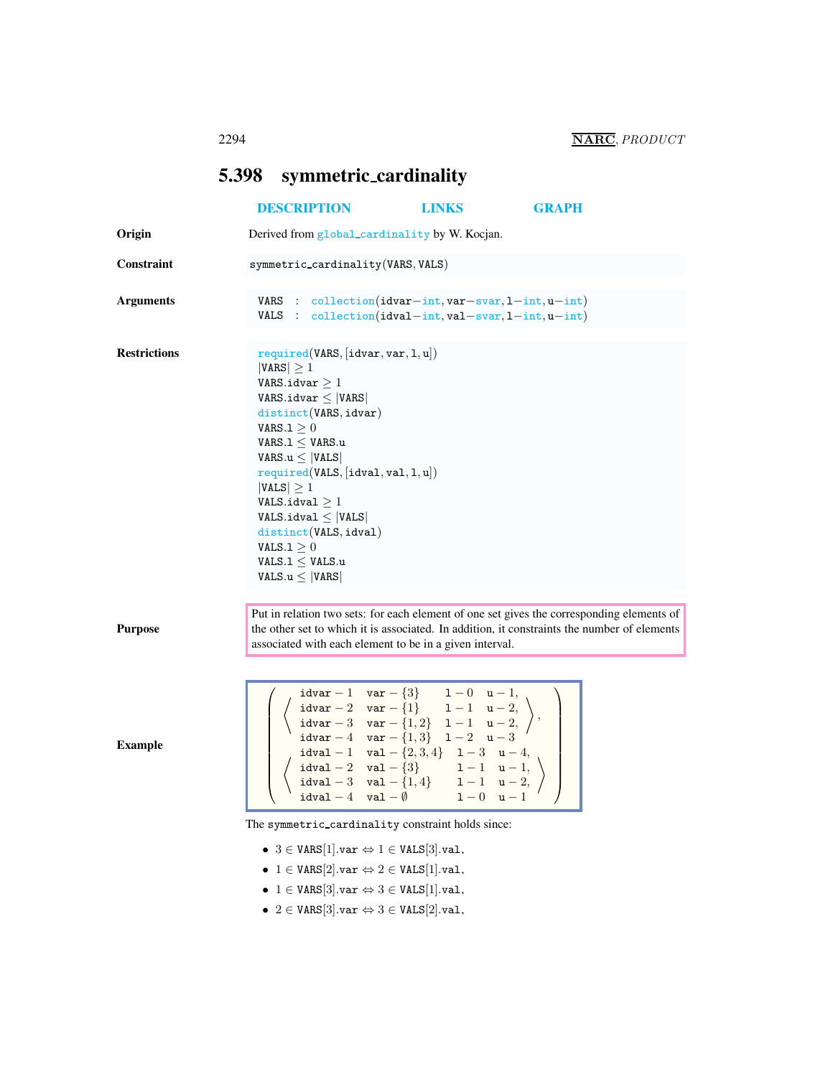<span id="page-0-0"></span>

|                     | 5.398 symmetric_cardinality                                                                                                                                                                                                                                                                                                                                                                                                                      |                                                                                                                                                                                                                                                                                                                                                                                                                                                                                                                            |              |  |
|---------------------|--------------------------------------------------------------------------------------------------------------------------------------------------------------------------------------------------------------------------------------------------------------------------------------------------------------------------------------------------------------------------------------------------------------------------------------------------|----------------------------------------------------------------------------------------------------------------------------------------------------------------------------------------------------------------------------------------------------------------------------------------------------------------------------------------------------------------------------------------------------------------------------------------------------------------------------------------------------------------------------|--------------|--|
|                     | <b>DESCRIPTION</b>                                                                                                                                                                                                                                                                                                                                                                                                                               | <b>LINKS</b>                                                                                                                                                                                                                                                                                                                                                                                                                                                                                                               | <b>GRAPH</b> |  |
| Origin              | Derived from global_cardinality by W. Kocjan.                                                                                                                                                                                                                                                                                                                                                                                                    |                                                                                                                                                                                                                                                                                                                                                                                                                                                                                                                            |              |  |
| Constraint          | $symmetric\_cardinality(VARS, VALS)$                                                                                                                                                                                                                                                                                                                                                                                                             |                                                                                                                                                                                                                                                                                                                                                                                                                                                                                                                            |              |  |
| <b>Arguments</b>    | VARS : $\text{collection}(\text{idxar}-\text{int}, \text{var}-\text{svar}, 1-\text{int}, \text{u}-\text{int})$<br>VALS : $collection(idval-int,val-svar,1-int, u-int)$                                                                                                                                                                                                                                                                           |                                                                                                                                                                                                                                                                                                                                                                                                                                                                                                                            |              |  |
| <b>Restrictions</b> | required(VARS, [idvar, var, 1, u])<br>$ VARS  \geq 1$<br>VARS.idvar $\geq 1$<br>VARS.idvar $\leq$  VARS <br>distinct(VARS, idvar)<br>VARS. $1 \geq 0$<br>VARS. $1 \leq$ VARS.u<br>VARS. $u \leq  VALS $<br>required(VALS, [idval, val, 1, u])<br>$ VALS  \geq 1$<br>$\texttt{VALS.idval} \geq 1$<br>$\mathtt{VALS}.\mathtt{idval} \leq  \mathtt{VALS} $<br>distinct(VALS, idval)<br>VALS.1 > 0<br>VALS. $1 \leq$ VALS.u<br>VALS. $u \leq  VARS $ |                                                                                                                                                                                                                                                                                                                                                                                                                                                                                                                            |              |  |
| <b>Purpose</b>      | Put in relation two sets: for each element of one set gives the corresponding elements of<br>the other set to which it is associated. In addition, it constraints the number of elements<br>associated with each element to be in a given interval.                                                                                                                                                                                              |                                                                                                                                                                                                                                                                                                                                                                                                                                                                                                                            |              |  |
|                     |                                                                                                                                                                                                                                                                                                                                                                                                                                                  |                                                                                                                                                                                                                                                                                                                                                                                                                                                                                                                            |              |  |
| <b>Example</b>      |                                                                                                                                                                                                                                                                                                                                                                                                                                                  | $\left\{ \begin{array}{llll} \texttt{idxr} - 1 & \texttt{var} - \{3\} & 1 - 0 & \texttt{u} - 1, \\ \texttt{idxar} - 2 & \texttt{var} - \{1\} & 1 - 1 & \texttt{u} - 2, \\ \texttt{idxar} - 3 & \texttt{var} - \{1, 2\} & 1 - 1 & \texttt{u} - 2, \\ \texttt{idxar} - 4 & \texttt{var} - \{1, 3\} & 1 - 2 & \texttt{u} - 3 \end{array} \right\},$<br>idval - 1 val - $\{2,3,4\}$ 1 - 3 u - 4,<br>idval - 2 val - $\{3\}$ 1 - 1 u - 1,<br>idval - 3 val - $\{1, 4\}$ 1 - 1 u - 2,<br>idval - 4 val - $\emptyset$ 1 - 0 u - 1 |              |  |
|                     | The symmetric_cardinality constraint holds since:                                                                                                                                                                                                                                                                                                                                                                                                |                                                                                                                                                                                                                                                                                                                                                                                                                                                                                                                            |              |  |
|                     | • 3 $\in$ VARS[1].var $\Leftrightarrow$ 1 $\in$ VALS[3].val,                                                                                                                                                                                                                                                                                                                                                                                     |                                                                                                                                                                                                                                                                                                                                                                                                                                                                                                                            |              |  |
|                     | • $1 \in \text{VARS}[2].\text{var} \Leftrightarrow 2 \in \text{VALS}[1].\text{val},$                                                                                                                                                                                                                                                                                                                                                             |                                                                                                                                                                                                                                                                                                                                                                                                                                                                                                                            |              |  |
|                     | • $1 \in \text{VARS}[3].\text{var} \Leftrightarrow 3 \in \text{VALS}[1].\text{val},$<br>• 2 $\in$ VARS[3].var $\Leftrightarrow$ 3 $\in$ VALS[2].val,                                                                                                                                                                                                                                                                                             |                                                                                                                                                                                                                                                                                                                                                                                                                                                                                                                            |              |  |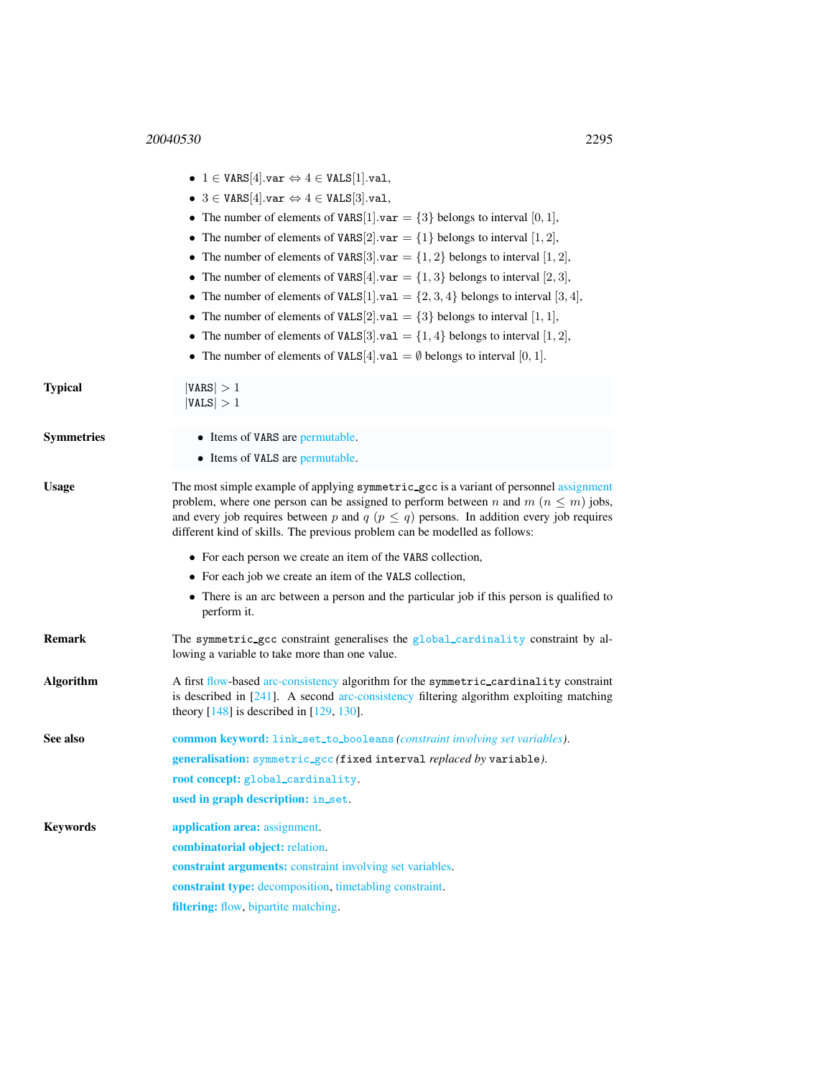|                   | • $1 \in \text{VARS}[4].\text{var} \Leftrightarrow 4 \in \text{VALS}[1].\text{val},$                                                                                                                                                                                                                                                                               |
|-------------------|--------------------------------------------------------------------------------------------------------------------------------------------------------------------------------------------------------------------------------------------------------------------------------------------------------------------------------------------------------------------|
|                   | • 3 $\in$ VARS[4].var $\Leftrightarrow$ 4 $\in$ VALS[3].val,                                                                                                                                                                                                                                                                                                       |
|                   | • The number of elements of VARS[1].var = $\{3\}$ belongs to interval [0, 1],                                                                                                                                                                                                                                                                                      |
|                   | • The number of elements of VARS[2] var = $\{1\}$ belongs to interval [1, 2],                                                                                                                                                                                                                                                                                      |
|                   | • The number of elements of VARS[3] var = $\{1, 2\}$ belongs to interval [1, 2],                                                                                                                                                                                                                                                                                   |
|                   | • The number of elements of VARS[4] var = $\{1,3\}$ belongs to interval [2, 3],                                                                                                                                                                                                                                                                                    |
|                   | • The number of elements of VALS[1] val = $\{2, 3, 4\}$ belongs to interval [3, 4],                                                                                                                                                                                                                                                                                |
|                   | • The number of elements of VALS[2] val = $\{3\}$ belongs to interval [1, 1],                                                                                                                                                                                                                                                                                      |
|                   | • The number of elements of VALS[3] val = $\{1, 4\}$ belongs to interval [1, 2],                                                                                                                                                                                                                                                                                   |
|                   | • The number of elements of VALS[4] val = $\emptyset$ belongs to interval [0, 1].                                                                                                                                                                                                                                                                                  |
| Typical           | VARS  > 1<br> VALS  > 1                                                                                                                                                                                                                                                                                                                                            |
| <b>Symmetries</b> | • Items of VARS are permutable.                                                                                                                                                                                                                                                                                                                                    |
|                   | • Items of VALS are permutable.                                                                                                                                                                                                                                                                                                                                    |
| Usage             | The most simple example of applying symmetric_gcc is a variant of personnel assignment<br>problem, where one person can be assigned to perform between n and $m (n \leq m)$ jobs,<br>and every job requires between p and $q$ ( $p \leq q$ ) persons. In addition every job requires<br>different kind of skills. The previous problem can be modelled as follows: |
|                   | • For each person we create an item of the VARS collection,                                                                                                                                                                                                                                                                                                        |
|                   | • For each job we create an item of the VALS collection,                                                                                                                                                                                                                                                                                                           |
|                   | • There is an arc between a person and the particular job if this person is qualified to<br>perform it.                                                                                                                                                                                                                                                            |
| Remark            | The symmetric_gcc constraint generalises the global_cardinality constraint by al-<br>lowing a variable to take more than one value.                                                                                                                                                                                                                                |
| Algorithm         | A first flow-based arc-consistency algorithm for the symmetric_cardinality constraint<br>is described in $[241]$ . A second arc-consistency filtering algorithm exploiting matching<br>theory $[148]$ is described in $[129, 130]$ .                                                                                                                               |
| See also          | <b>common keyword:</b> link_set_to_booleans (constraint involving set variables).                                                                                                                                                                                                                                                                                  |
|                   | generalisation: symmetric_gcc (fixed interval replaced by variable).                                                                                                                                                                                                                                                                                               |
|                   | root concept: global_cardinality.                                                                                                                                                                                                                                                                                                                                  |
|                   | used in graph description: in_set.                                                                                                                                                                                                                                                                                                                                 |
| <b>Keywords</b>   | application area: assignment.                                                                                                                                                                                                                                                                                                                                      |
|                   | combinatorial object: relation.                                                                                                                                                                                                                                                                                                                                    |
|                   | constraint arguments: constraint involving set variables.                                                                                                                                                                                                                                                                                                          |
|                   | constraint type: decomposition, timetabling constraint.                                                                                                                                                                                                                                                                                                            |
|                   |                                                                                                                                                                                                                                                                                                                                                                    |

<span id="page-1-0"></span>filtering: flow, bipartite matching.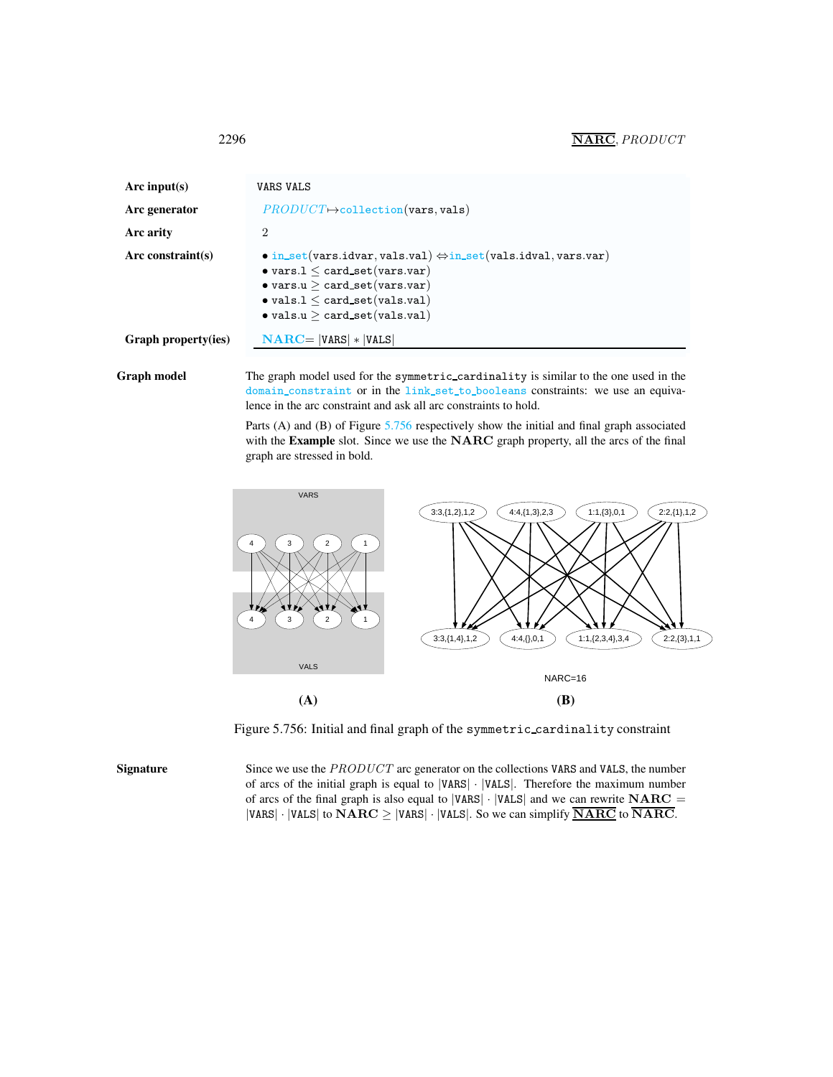## 2296 NARC, PRODUCT

| Arc input(s)               | VARS VALS                                                                                                                                                                                                                                                                |  |
|----------------------------|--------------------------------------------------------------------------------------------------------------------------------------------------------------------------------------------------------------------------------------------------------------------------|--|
| Arc generator              | $PRODUCT \rightarrow collection(vars, vals)$                                                                                                                                                                                                                             |  |
| Arc arity                  | 2                                                                                                                                                                                                                                                                        |  |
| Arc constraint(s)          | $\bullet$ in_set(vars.idvar, vals.val) $\Leftrightarrow$ in_set(vals.idval, vars.var)<br>$\bullet$ vars. $1 \leq$ card_set(vars.var)<br>$\bullet$ vars.u $>$ card_set(vars.var)<br>$\bullet$ vals.1 $\leq$ card_set(vals.val)<br>$\bullet$ vals.u $>$ card_set(vals.val) |  |
| <b>Graph property(ies)</b> | $NARC =  VARS  *  VALS $                                                                                                                                                                                                                                                 |  |

Graph model The graph model used for the symmetric\_cardinality is similar to the one used in the domain constraint or in the link set to booleans constraints: we use an equivalence in the arc constraint and ask all arc constraints to hold.

> Parts (A) and (B) of Figure [5.756](#page-2-1) respectively show the initial and final graph associated with the Example slot. Since we use the NARC graph property, all the arcs of the final graph are stressed in bold.



<span id="page-2-1"></span>Figure 5.756: Initial and final graph of the symmetric cardinality constraint

Signature Since we use the PRODUCT arc generator on the collections VARS and VALS, the number of arcs of the initial graph is equal to |VARS| · |VALS|. Therefore the maximum number of arcs of the final graph is also equal to  $|VARS| \cdot |VALS|$  and we can rewrite  $NARC =$ |VARS| · |VALS| to  $NARC \geq$  |VARS| · |VALS|. So we can simplify  $\overline{NARC}$  to  $\overline{NARC}$ .

<span id="page-2-0"></span>